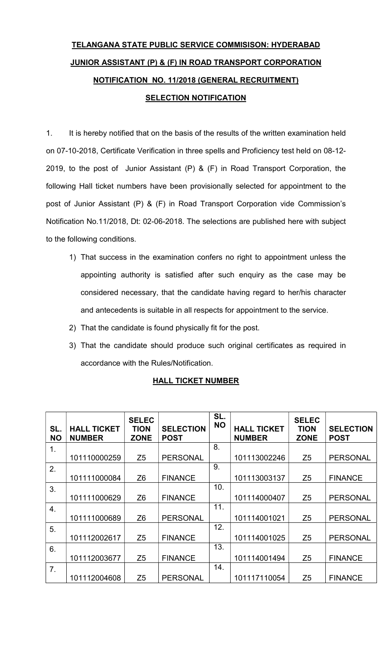## TELANGANA STATE PUBLIC SERVICE COMMISISON: HYDERABAD JUNIOR ASSISTANT (P) & (F) IN ROAD TRANSPORT CORPORATION NOTIFICATION NO. 11/2018 (GENERAL RECRUITMENT) **SELECTION NOTIFICATION**

1. It is hereby notified that on the basis of the results of the written examination held on 07-10-2018, Certificate Verification in three spells and Proficiency test held on 08-12- 2019, to the post of Junior Assistant (P) & (F) in Road Transport Corporation, the following Hall ticket numbers have been provisionally selected for appointment to the post of Junior Assistant (P) & (F) in Road Transport Corporation vide Commission's Notification No.11/2018, Dt: 02-06-2018. The selections are published here with subject to the following conditions.

- 1) That success in the examination confers no right to appointment unless the appointing authority is satisfied after such enquiry as the case may be considered necessary, that the candidate having regard to her/his character and antecedents is suitable in all respects for appointment to the service.
- 2) That the candidate is found physically fit for the post.
- 3) That the candidate should produce such original certificates as required in accordance with the Rules/Notification.

| SL.<br><b>NO</b> | <b>HALL TICKET</b><br><b>NUMBER</b> | <b>SELEC</b><br><b>TION</b><br><b>ZONE</b> | <b>SELECTION</b><br><b>POST</b> | SL.<br><b>NO</b> | <b>HALL TICKET</b><br><b>NUMBER</b> | <b>SELEC</b><br><b>TION</b><br><b>ZONE</b> | <b>SELECTION</b><br><b>POST</b> |
|------------------|-------------------------------------|--------------------------------------------|---------------------------------|------------------|-------------------------------------|--------------------------------------------|---------------------------------|
| 1.               |                                     |                                            |                                 | 8.               |                                     |                                            |                                 |
|                  | 101110000259                        | Z <sub>5</sub>                             | <b>PERSONAL</b>                 |                  | 101113002246                        | Z <sub>5</sub>                             | <b>PERSONAL</b>                 |
| 2.               |                                     |                                            |                                 | 9.               |                                     |                                            |                                 |
|                  | 101111000084                        | Z <sub>6</sub>                             | <b>FINANCE</b>                  |                  | 101113003137                        | Z <sub>5</sub>                             | <b>FINANCE</b>                  |
| 3.               |                                     |                                            |                                 | 10.              |                                     |                                            |                                 |
|                  | 101111000629                        | Z <sub>6</sub>                             | <b>FINANCE</b>                  |                  | 101114000407                        | Z <sub>5</sub>                             | <b>PERSONAL</b>                 |
| 4.               |                                     |                                            |                                 | 11.              |                                     |                                            |                                 |
|                  | 101111000689                        | Z <sub>6</sub>                             | <b>PERSONAL</b>                 |                  | 101114001021                        | Z <sub>5</sub>                             | <b>PERSONAL</b>                 |
| 5.               |                                     |                                            |                                 | 12.              |                                     |                                            |                                 |
|                  | 101112002617                        | Z <sub>5</sub>                             | <b>FINANCE</b>                  |                  | 101114001025                        | Z <sub>5</sub>                             | <b>PERSONAL</b>                 |
| 6.               |                                     |                                            |                                 | 13.              |                                     |                                            |                                 |
|                  | 101112003677                        | Z <sub>5</sub>                             | <b>FINANCE</b>                  |                  | 101114001494                        | Z <sub>5</sub>                             | <b>FINANCE</b>                  |
| 7 <sub>1</sub>   |                                     |                                            |                                 | 14.              |                                     |                                            |                                 |
|                  | 101112004608                        | Z <sub>5</sub>                             | <b>PERSONAL</b>                 |                  | 101117110054                        | Z <sub>5</sub>                             | <b>FINANCE</b>                  |

## HALL TICKET NUMBER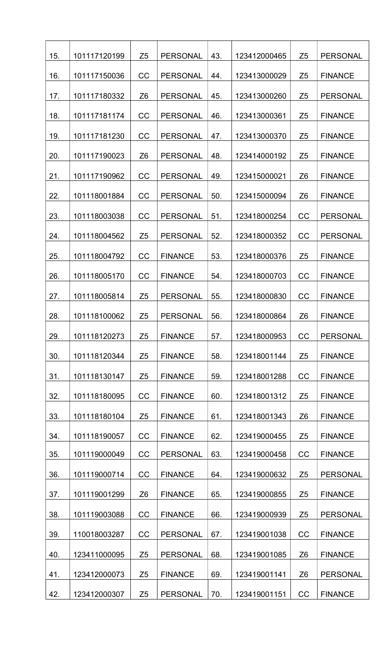| 15. | 101117120199 | Z <sub>5</sub> | <b>PERSONAL</b> | 43. | 123412000465 | Z <sub>5</sub> | <b>PERSONAL</b> |
|-----|--------------|----------------|-----------------|-----|--------------|----------------|-----------------|
| 16. | 101117150036 | CC             | <b>PERSONAL</b> | 44. | 123413000029 | Z <sub>5</sub> | <b>FINANCE</b>  |
| 17. | 101117180332 | Z <sub>6</sub> | <b>PERSONAL</b> | 45. | 123413000260 | Z <sub>5</sub> | <b>PERSONAL</b> |
| 18. | 101117181174 | CC             | <b>PERSONAL</b> | 46. | 123413000361 | Z <sub>5</sub> | <b>FINANCE</b>  |
| 19. | 101117181230 | CC             | <b>PERSONAL</b> | 47. | 123413000370 | Z <sub>5</sub> | <b>FINANCE</b>  |
| 20. | 101117190023 | Z <sub>6</sub> | <b>PERSONAL</b> | 48. | 123414000192 | Z <sub>5</sub> | <b>FINANCE</b>  |
| 21. | 101117190962 | CC             | <b>PERSONAL</b> | 49. | 123415000021 | Z <sub>6</sub> | <b>FINANCE</b>  |
| 22. | 101118001884 | CC             | <b>PERSONAL</b> | 50. | 123415000094 | Z <sub>6</sub> | <b>FINANCE</b>  |
| 23. | 101118003038 | CC             | <b>PERSONAL</b> | 51. | 123418000254 | CC             | <b>PERSONAL</b> |
| 24. | 101118004562 | Z <sub>5</sub> | <b>PERSONAL</b> | 52. | 123418000352 | <b>CC</b>      | <b>PERSONAL</b> |
| 25. | 101118004792 | CC             | <b>FINANCE</b>  | 53. | 123418000376 | Z <sub>5</sub> | <b>FINANCE</b>  |
| 26. | 101118005170 | CC             | <b>FINANCE</b>  | 54. | 123418000703 | CC             | <b>FINANCE</b>  |
| 27. | 101118005814 | Z <sub>5</sub> | <b>PERSONAL</b> | 55. | 123418000830 | <b>CC</b>      | <b>FINANCE</b>  |
| 28. | 101118100062 | Z <sub>5</sub> | <b>PERSONAL</b> | 56. | 123418000864 | Z <sub>6</sub> | <b>FINANCE</b>  |
| 29. | 101118120273 | Z <sub>5</sub> | <b>FINANCE</b>  | 57. | 123418000953 | CC             | <b>PERSONAL</b> |
| 30. | 101118120344 | Z <sub>5</sub> | <b>FINANCE</b>  | 58. | 123418001144 | Z <sub>5</sub> | <b>FINANCE</b>  |
| 31. | 101118130147 | Z <sub>5</sub> | <b>FINANCE</b>  | 59. | 123418001288 | CC             | <b>FINANCE</b>  |
| 32. | 101118180095 | CC             | <b>FINANCE</b>  | 60. | 123418001312 | Z <sub>5</sub> | <b>FINANCE</b>  |
| 33. | 101118180104 | Z <sub>5</sub> | <b>FINANCE</b>  | 61. | 123418001343 | Z <sub>6</sub> | <b>FINANCE</b>  |
| 34. | 101118190057 | CC             | <b>FINANCE</b>  | 62. | 123419000455 | Z <sub>5</sub> | <b>FINANCE</b>  |
| 35. | 101119000049 | CC             | <b>PERSONAL</b> | 63. | 123419000458 | CC             | <b>FINANCE</b>  |
| 36. | 101119000714 | CC             | <b>FINANCE</b>  | 64. | 123419000632 | Z <sub>5</sub> | <b>PERSONAL</b> |
| 37. | 101119001299 | Z <sub>6</sub> | <b>FINANCE</b>  | 65. | 123419000855 | Z <sub>5</sub> | <b>FINANCE</b>  |
| 38. | 101119003088 | CC             | <b>FINANCE</b>  | 66. | 123419000939 | Z <sub>5</sub> | <b>PERSONAL</b> |
| 39. | 110018003287 | CC             | <b>PERSONAL</b> | 67. | 123419001038 | CC             | <b>FINANCE</b>  |
| 40. | 123411000095 | Z <sub>5</sub> | <b>PERSONAL</b> | 68. | 123419001085 | Z <sub>6</sub> | <b>FINANCE</b>  |
| 41. | 123412000073 | Z <sub>5</sub> | <b>FINANCE</b>  | 69. | 123419001141 | Z <sub>6</sub> | <b>PERSONAL</b> |
| 42. | 123412000307 | Z <sub>5</sub> | <b>PERSONAL</b> | 70. | 123419001151 | CC             | <b>FINANCE</b>  |